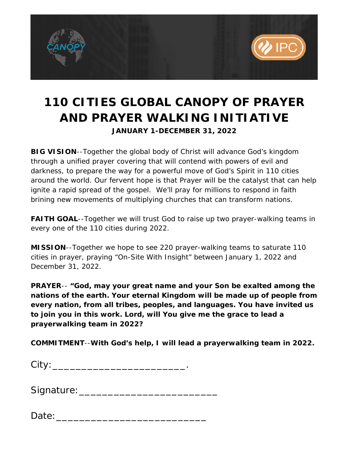

# **110 CITIES GLOBAL CANOPY OF PRAYER AND PRAYER WALKING INITIATIVE JANUARY 1-DECEMBER 31, 2022**

**BIG VISION**--Together the global body of Christ will advance God's kingdom through a unified prayer covering that will contend with powers of evil and darkness, to prepare the way for a powerful move of God's Spirit in 110 cities around the world. Our fervent hope is that Prayer will be the catalyst that can help ignite a rapid spread of the gospel. We'll pray for millions to respond in faith brining new movements of multiplying churches that can transform nations.

**FAITH GOAL--Together we will trust God to raise up two prayer-walking teams in** every one of the 110 cities during 2022.

**MISSION**--Together we hope to see 220 prayer-walking teams to saturate 110 cities in prayer, praying "On-Site With Insight" between January 1, 2022 and December 31, 2022.

**PRAYER**-- *"God, may your great name and your Son be exalted among the nations of the earth. Your eternal Kingdom will be made up of people from every nation, from all tribes, peoples, and languages. You have invited us to join you in this work. Lord, will You give me the grace to lead a prayerwalking team in 2022?* 

**COMMITMENT**--*With God's help, I will lead a prayerwalking team in 2022.* 

| <b>City</b> |  |  |  |  |  |
|-------------|--|--|--|--|--|
|             |  |  |  |  |  |
|             |  |  |  |  |  |

| Signature: |  |  |
|------------|--|--|
|            |  |  |

Date:\_\_\_\_\_\_\_\_\_\_\_\_\_\_\_\_\_\_\_\_\_\_\_\_\_\_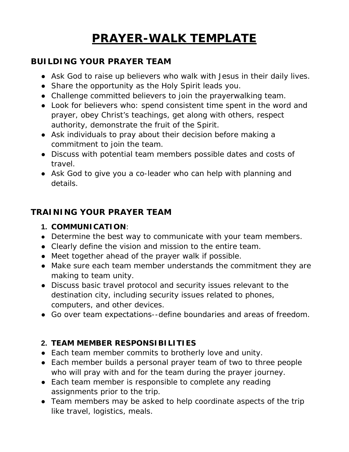# **PRAYER-WALK TEMPLATE**

## **BUILDING YOUR PRAYER TEAM**

- Ask God to raise up believers who walk with Jesus in their daily lives.
- Share the opportunity as the Holy Spirit leads you.
- Challenge committed believers to join the prayerwalking team.
- Look for believers who: spend consistent time spent in the word and prayer, obey Christ's teachings, get along with others, respect authority, demonstrate the fruit of the Spirit.
- Ask individuals to pray about their decision before making a commitment to join the team.
- Discuss with potential team members possible dates and costs of travel.
- Ask God to give you a co-leader who can help with planning and details.

## **TRAINING YOUR PRAYER TEAM**

- **1. COMMUNICATION**:
- Determine the best way to communicate with your team members.
- Clearly define the vision and mission to the entire team.
- Meet together ahead of the prayer walk if possible.
- Make sure each team member understands the commitment they are making to team unity.
- Discuss basic travel protocol and security issues relevant to the destination city, including security issues related to phones, computers, and other devices.
- Go over team expectations--define boundaries and areas of freedom.

## **2. TEAM MEMBER RESPONSIBILITIES**

- Each team member commits to brotherly love and unity.
- Each member builds a personal prayer team of two to three people who will pray with and for the team during the prayer journey.
- Each team member is responsible to complete any reading assignments prior to the trip.
- Team members may be asked to help coordinate aspects of the trip like travel, logistics, meals.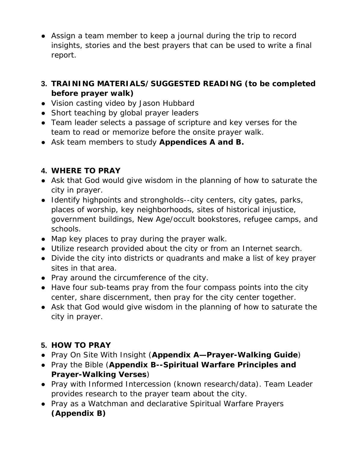- Assign a team member to keep a journal during the trip to record insights, stories and the best prayers that can be used to write a final report.
- **3. TRAINING MATERIALS/SUGGESTED READING (to be completed before prayer walk)**
- Vision casting video by Jason Hubbard
- Short teaching by global prayer leaders
- Team leader selects a passage of scripture and key verses for the team to read or memorize before the onsite prayer walk.
- Ask team members to study *Appendices A and B.*

# **4. WHERE TO PRAY**

- Ask that God would give wisdom in the planning of how to saturate the city in prayer.
- Identify highpoints and strongholds--city centers, city gates, parks, places of worship, key neighborhoods, sites of historical injustice, government buildings, New Age/occult bookstores, refugee camps, and schools.
- Map key places to pray during the prayer walk.
- Utilize research provided about the city or from an Internet search.
- Divide the city into districts or quadrants and make a list of key prayer sites in that area.
- Pray around the circumference of the city.
- Have four sub-teams pray from the four compass points into the city center, share discernment, then pray for the city center together.
- Ask that God would give wisdom in the planning of how to saturate the city in prayer.

# **5. HOW TO PRAY**

- Pray *On Site With Insight* (*Appendix A—Prayer-Walking Guide*)
- Pray the Bible (*Appendix B--Spiritual Warfare Principles and Prayer-Walking Verses*)
- Pray with Informed Intercession (known research/data). Team Leader provides research to the prayer team about the city.
- Pray as a Watchman and declarative Spiritual Warfare Prayers *(Appendix B)*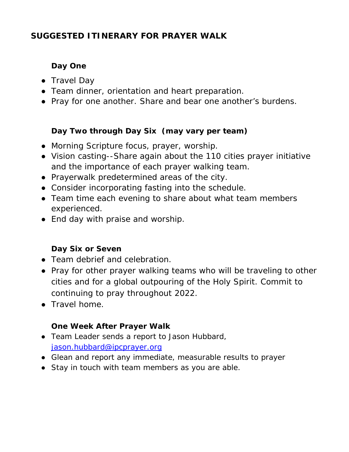# **SUGGESTED ITINERARY FOR PRAYER WALK**

# **Day One**

- Travel Day
- Team dinner, orientation and heart preparation.
- Pray for one another. Share and bear one another's burdens.

# **Day Two through Day Six (may vary per team)**

- Morning Scripture focus, prayer, worship.
- Vision casting--Share again about the 110 cities prayer initiative and the importance of each prayer walking team.
- Prayerwalk predetermined areas of the city.
- Consider incorporating fasting into the schedule.
- Team time each evening to share about what team members experienced.
- End day with praise and worship.

# **Day Six or Seven**

- Team debrief and celebration.
- Pray for other prayer walking teams who will be traveling to other cities and for a global outpouring of the Holy Spirit. Commit to continuing to pray throughout 2022.
- Travel home.

# **One Week After Prayer Walk**

- Team Leader sends a report to Jason Hubbard, [jason.hubbard@ipcprayer.org](mailto:jason.hubbard@ipcprayer.org)
- Glean and report any immediate, measurable results to prayer
- Stay in touch with team members as you are able.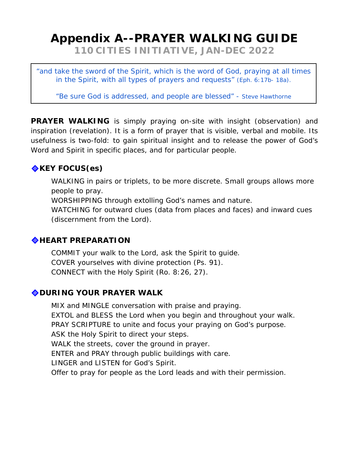# **Appendix A--PRAYER WALKING GUIDE**

*110 CITIES INITIATIVE, JAN-DEC 2022*

*"and take the sword of the Spirit, which is the word of God, praying at all times in the Spirit, with all types of prayers and requests"* (Eph. 6:17b- 18a).

*"Be sure God is addressed, and people are blessed" - Steve Hawthorne*

**PRAYER WALKING** is simply praying on-site with insight (observation) and inspiration (revelation). It is a form of prayer that is visible, verbal and mobile. Its usefulness is two-fold: to gain spiritual insight and to release the power of God's Word and Spirit in specific places, and for particular people.

# **EXEY FOCUS(es)**

WALKING in pairs or triplets, to be more discrete. Small groups allows more people to pray.

WORSHIPPING through extolling God's names and nature.

WATCHING for outward clues (data from places and faces) and inward cues (discernment from the Lord).

## **HEART PREPARATION**

COMMIT your walk to the Lord, ask the Spirit to guide. COVER yourselves with divine protection (Ps. 91). CONNECT with the Holy Spirit (Ro. 8:26, 27).

## **DURING YOUR PRAYER WALK**

MIX and MINGLE conversation with praise and praying. EXTOL and BLESS the Lord when you begin and throughout your walk. PRAY SCRIPTURE to unite and focus your praying on God's purpose. ASK the Holy Spirit to direct your steps. WALK the streets, cover the ground in prayer. ENTER and PRAY through public buildings with care. LINGER and LISTEN for God's Spirit. Offer to pray for people as the Lord leads and with their permission.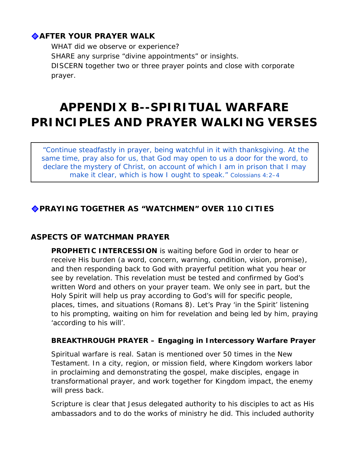## **AFTER YOUR PRAYER WALK**

WHAT did we observe or experience? SHARE any surprise "divine appointments" or insights. DISCERN together two or three prayer points and close with corporate prayer.

# **APPENDIX B--SPIRITUAL WARFARE PRINCIPLES AND PRAYER WALKING VERSES**

*"Continue steadfastly in prayer, being watchful in it with thanksgiving. At the same time, pray also for us, that God may open to us a door for the word, to declare the mystery of Christ, on account of which I am in prison that I may make it clear, which is how I ought to speak." Colossians 4:2–4* 

## **PRAYING TOGETHER AS "WATCHMEN" OVER 110 CITIES**

### **ASPECTS OF WATCHMAN PRAYER**

**PROPHETIC INTERCESSION** is waiting before God in order to hear or receive His burden (a word, concern, warning, condition, vision, promise), and then responding back to God with prayerful petition what you hear or see by revelation. This revelation must be tested and confirmed by God's written Word and others on your prayer team. We only see in part, but the Holy Spirit will help us pray according to God's will for specific people, places, times, and situations (Romans 8). Let's Pray 'in the Spirit' listening to his prompting, waiting on him for revelation and being led by him, praying 'according to his will'.

#### **BREAKTHROUGH PRAYER – Engaging in Intercessory Warfare Prayer**

Spiritual warfare is real. Satan is mentioned over 50 times in the New Testament. In a city, region, or mission field, where Kingdom workers labor in proclaiming and demonstrating the gospel, make disciples, engage in transformational prayer, and work together for Kingdom impact, the enemy will press back.

Scripture is clear that Jesus delegated authority to his disciples to act as His ambassadors and to do the works of ministry he did. This included authority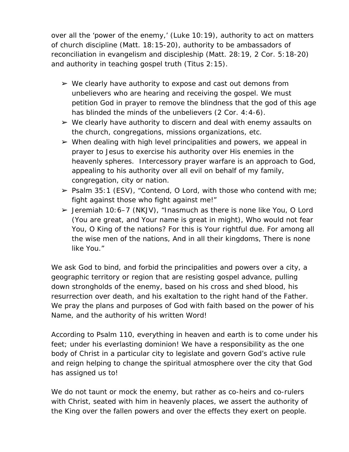over all the 'power of the enemy,' (Luke 10:19), authority to act on matters of church discipline (Matt. 18:15-20), authority to be ambassadors of reconciliation in evangelism and discipleship (Matt. 28:19, 2 Cor. 5:18-20) and authority in teaching gospel truth (Titus 2:15).

- $\triangleright$  We clearly have authority to expose and cast out demons from unbelievers who are hearing and receiving the gospel. We must petition God in prayer to remove the blindness that the god of this age has blinded the minds of the unbelievers (2 Cor. 4:4-6).
- $\triangleright$  We clearly have authority to discern and deal with enemy assaults on the church, congregations, missions organizations, etc.
- $\triangleright$  When dealing with high level principalities and powers, we appeal in prayer to Jesus to exercise his authority over His enemies in the heavenly spheres. Intercessory prayer warfare is an approach to God, appealing to his authority over all evil on behalf of my family, congregation, city or nation.
- $\triangleright$  Psalm 35:1 (ESV), "Contend, O Lord, with those who contend with me; fight against those who fight against me!"
- $\geq$  Jeremiah 10:6–7 (NKJV), "Inasmuch as there is none like You, O Lord (You are great, and Your name is great in might), Who would not fear You, O King of the nations? For this is Your rightful due. For among all the wise men of the nations, And in all their kingdoms, There is none like You."

We ask God to bind, and forbid the principalities and powers over a city, a geographic territory or region that are resisting gospel advance, pulling down strongholds of the enemy, based on his cross and shed blood, his resurrection over death, and his exaltation to the right hand of the Father. We pray the plans and purposes of God with faith based on the power of his Name, and the authority of his written Word!

According to Psalm 110, everything in heaven and earth is to come under his feet; under his everlasting dominion! We have a responsibility as the one body of Christ in a particular city to legislate and govern God's active rule and reign helping to change the spiritual atmosphere over the city that God has assigned us to!

We do not taunt or mock the enemy, but rather as co-heirs and co-rulers with Christ, seated with him in heavenly places, we assert the authority of the King over the fallen powers and over the effects they exert on people.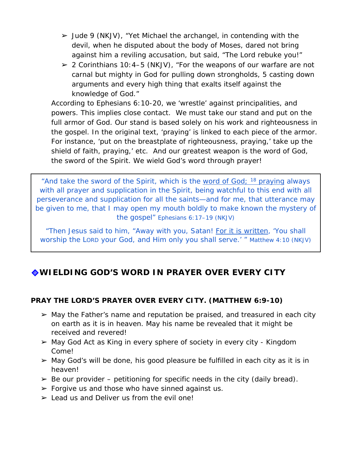- $\geq$  Jude 9 (NKJV), "Yet Michael the archangel, in contending with the devil, when he disputed about the body of Moses, dared not bring against him a reviling accusation, but said, "The Lord rebuke you!"
- $\geq$  2 Corinthians 10:4–5 (NKJV), "For the weapons of our warfare are not carnal but mighty in God for pulling down strongholds, 5 casting down arguments and every high thing that exalts itself against the knowledge of God."

According to Ephesians 6:10-20, we 'wrestle' against principalities, and powers. This implies close contact. We must take our stand and put on the full armor of God. Our stand is based solely on his work and righteousness in the gospel. In the original text, 'praying' is linked to each piece of the armor. For instance, 'put on the breastplate of righteousness, praying,' take up the shield of faith, praying,' etc. And our greatest weapon is the word of God, the sword of the Spirit. We wield God's word through prayer!

*"And take the sword of the Spirit, which is the word of God; 18 praying always*  with all prayer and supplication in the Spirit, being watchful to this end with all *perseverance and supplication for all the saints—and for me, that utterance may be given to me, that I may open my mouth boldly to make known the mystery of the gospel" Ephesians 6:17–19 (NKJV)*

*"Then Jesus said to him, "Away with you, Satan! For it is written, 'You shall worship the LORD your God, and Him only you shall serve.' " Matthew 4:10 (NKJV)*

# **WIELDING GOD'S WORD IN PRAYER OVER EVERY CITY**

### **PRAY THE LORD'S PRAYER OVER EVERY CITY. (MATTHEW 6:9-10)**

- $\triangleright$  May the Father's name and reputation be praised, and treasured in each city on earth as it is in heaven. May his name be revealed that it might be received and revered!
- ➢ May God Act as King in every sphere of society in every city Kingdom Come!
- $\triangleright$  May God's will be done, his good pleasure be fulfilled in each city as it is in heaven!
- $\triangleright$  Be our provider petitioning for specific needs in the city (daily bread).
- $\triangleright$  Forgive us and those who have sinned against us.
- $\geq$  Lead us and Deliver us from the evil one!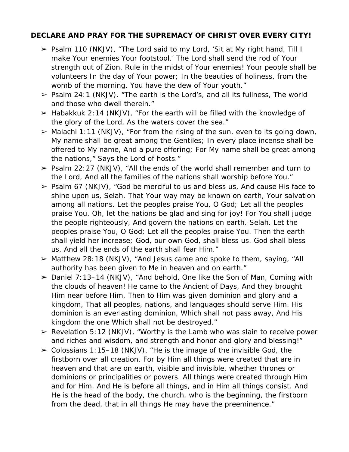#### **DECLARE AND PRAY FOR THE SUPREMACY OF CHRIST OVER EVERY CITY!**

- ➢ Psalm 110 (NKJV), "The Lord said to my Lord, 'Sit at My right hand, Till I make Your enemies Your footstool.' The Lord shall send the rod of Your strength out of Zion. Rule in the midst of Your enemies! Your people *shall be* volunteers In the day of Your power; In the beauties of holiness, from the womb of the morning, You have the dew of Your youth."
- $\triangleright$  Psalm 24:1 (NKJV). "The earth is the Lord's, and all its fullness, The world and those who dwell therein."
- $\geq$  Habakkuk 2:14 (NKJV), "For the earth will be filled with the knowledge of the glory of the Lord, As the waters cover the sea."
- $\triangleright$  Malachi 1:11 (NKJV), "For from the rising of the sun, even to its going down, My name shall be great among the Gentiles; In every place incense shall be offered to My name, And a pure offering; For My name shall be great among the nations," Says the Lord of hosts."
- $\ge$  Psalm 22:27 (NKJV), "All the ends of the world shall remember and turn to the Lord, And all the families of the nations shall worship before You."
- $\ge$  Psalm 67 (NKJV), "God be merciful to us and bless us, And cause His face to shine upon us, Selah. That Your way may be known on earth, Your salvation among all nations. Let the peoples praise You, O God; Let all the peoples praise You. Oh, let the nations be glad and sing for joy! For You shall judge the people righteously, And govern the nations on earth. Selah. Let the peoples praise You, O God; Let all the peoples praise You. Then the earth shall yield her increase; God, our own God, shall bless us. God shall bless us, And all the ends of the earth shall fear Him."
- $\triangleright$  Matthew 28:18 (NKJV), "And Jesus came and spoke to them, saying, "All authority has been given to Me in heaven and on earth."
- $\geq$  Daniel 7:13–14 (NKJV), "And behold, One like the Son of Man, Coming with the clouds of heaven! He came to the Ancient of Days, And they brought Him near before Him. Then to Him was given dominion and glory and a kingdom, That all peoples, nations, and languages should serve Him. His dominion is an everlasting dominion, Which shall not pass away, And His kingdom the one Which shall not be destroyed."
- $\triangleright$  Revelation 5:12 (NKJV), "Worthy is the Lamb who was slain to receive power and riches and wisdom, and strength and honor and glory and blessing!"
- $\geq$  Colossians 1:15–18 (NKJV), "He is the image of the invisible God, the firstborn over all creation. For by Him all things were created that are in heaven and that are on earth, visible and invisible, whether thrones or dominions or principalities or powers. All things were created through Him and for Him. And He is before all things, and in Him all things consist. And He is the head of the body, the church, who is the beginning, the firstborn from the dead, that in all things He may have the preeminence."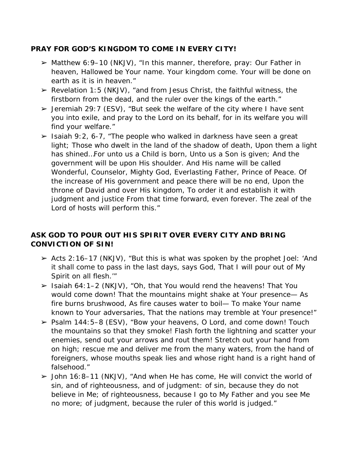#### **PRAY FOR GOD'S KINGDOM TO COME IN EVERY CITY!**

- $\triangleright$  Matthew 6:9-10 (NKJV), "In this manner, therefore, pray: Our Father in heaven, Hallowed be Your name. Your kingdom come. Your will be done on earth as *it is* in heaven."
- $\triangleright$  Revelation 1:5 (NKJV), "and from Jesus Christ, the faithful witness, the firstborn from the dead, and the ruler over the kings of the earth."
- $\ge$  Jeremiah 29:7 (ESV), "But seek the welfare of the city where I have sent you into exile, and pray to the Lord on its behalf, for in its welfare you will find your welfare."
- $\ge$  Isaiah 9:2, 6-7, "The people who walked in darkness have seen a great light; Those who dwelt in the land of the shadow of death, Upon them a light has shined…For unto us a Child is born, Unto us a Son is given; And the government will be upon His shoulder. And His name will be called Wonderful, Counselor, Mighty God, Everlasting Father, Prince of Peace. Of the increase of His government and peace there will be no end, Upon the throne of David and over His kingdom, To order it and establish it with judgment and justice From that time forward, even forever. The zeal of the Lord of hosts will perform this."

### **ASK GOD TO POUR OUT HIS SPIRIT OVER EVERY CITY AND BRING CONVICTION OF SIN!**

- $\ge$  Acts 2:16–17 (NKJV), "But this is what was spoken by the prophet Joel: 'And it shall come to pass in the last days, says God, That I will pour out of My Spirit on all flesh.'"
- ➢ Isaiah 64:1–2 (NKJV), "Oh, that You would rend the heavens! That You would come down! That the mountains might shake at Your presence— As fire burns brushwood, As fire causes water to boil— To make Your name known to Your adversaries, That the nations may tremble at Your presence!"
- ➢ Psalm 144:5–8 (ESV), "Bow your heavens, O Lord, and come down! Touch the mountains so that they smoke! Flash forth the lightning and scatter your enemies, send out your arrows and rout them! Stretch out your hand from on high; rescue me and deliver me from the many waters, from the hand of foreigners, whose mouths speak lies and whose right hand is a right hand of falsehood."
- $\ge$  John 16:8–11 (NKJV), "And when He has come, He will convict the world of sin, and of righteousness, and of judgment: of sin, because they do not believe in Me; of righteousness, because I go to My Father and you see Me no more; of judgment, because the ruler of this world is judged."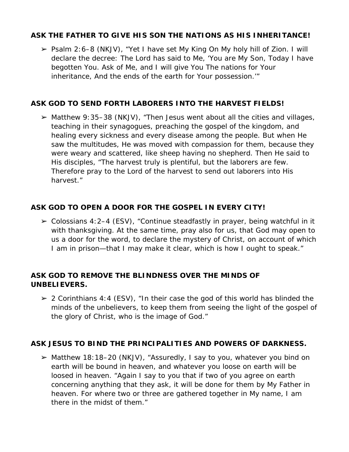### **ASK THE FATHER TO GIVE HIS SON THE NATIONS AS HIS INHERITANCE!**

➢ Psalm 2:6–8 (NKJV), "Yet I have set My King On My holy hill of Zion. I will declare the decree: The Lord has said to Me, 'You are My Son, Today I have begotten You. Ask of Me, and I will give You The nations for Your inheritance, And the ends of the earth for Your possession.'"

#### **ASK GOD TO SEND FORTH LABORERS INTO THE HARVEST FIELDS!**

 $\triangleright$  Matthew 9:35–38 (NKJV), "Then Jesus went about all the cities and villages, teaching in their synagogues, preaching the gospel of the kingdom, and healing every sickness and every disease among the people. But when He saw the multitudes, He was moved with compassion for them, because they were weary and scattered, like sheep having no shepherd. Then He said to His disciples, "The harvest truly *is* plentiful, but the laborers *are* few. Therefore pray to the Lord of the harvest to send out laborers into His harvest."

#### **ASK GOD TO OPEN A DOOR FOR THE GOSPEL IN EVERY CITY!**

 $\geq$  Colossians 4:2–4 (ESV), "Continue steadfastly in prayer, being watchful in it with thanksgiving. At the same time, pray also for us, that God may open to us a door for the word, to declare the mystery of Christ, on account of which I am in prison—that I may make it clear, which is how I ought to speak."

#### **ASK GOD TO REMOVE THE BLINDNESS OVER THE MINDS OF UNBELIEVERS.**

 $\geq$  2 Corinthians 4:4 (ESV), "In their case the god of this world has blinded the minds of the unbelievers, to keep them from seeing the light of the gospel of the glory of Christ, who is the image of God."

### **ASK JESUS TO BIND THE PRINCIPALITIES AND POWERS OF DARKNESS.**

➢ Matthew 18:18–20 (NKJV), "Assuredly, I say to you, whatever you bind on earth will be bound in heaven, and whatever you loose on earth will be loosed in heaven. "Again I say to you that if two of you agree on earth concerning anything that they ask, it will be done for them by My Father in heaven. For where two or three are gathered together in My name, I am there in the midst of them."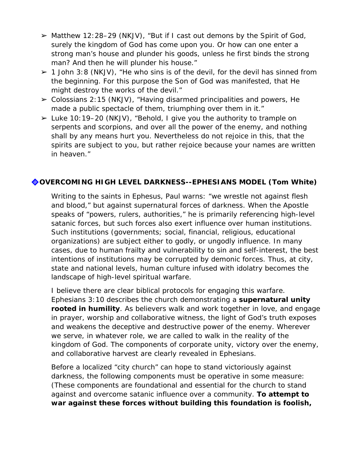- ➢ Matthew 12:28–29 (NKJV), "But if I cast out demons by the Spirit of God, surely the kingdom of God has come upon you. Or how can one enter a strong man's house and plunder his goods, unless he first binds the strong man? And then he will plunder his house."
- $\geq 1$  John 3:8 (NKJV), "He who sins is of the devil, for the devil has sinned from the beginning. For this purpose the Son of God was manifested, that He might destroy the works of the devil."
- $\geq$  Colossians 2:15 (NKJV), "Having disarmed principalities and powers, He made a public spectacle of them, triumphing over them in it."
- $\geq$  Luke 10:19–20 (NKJV), "Behold, I give you the authority to trample on serpents and scorpions, and over all the power of the enemy, and nothing shall by any means hurt you. Nevertheless do not rejoice in this, that the spirits are subject to you, but rather rejoice because your names are written in heaven."

### **OVERCOMING HIGH LEVEL DARKNESS--EPHESIANS MODEL (Tom White)**

Writing to the saints in Ephesus, Paul warns: "we wrestle not against flesh and blood," but against supernatural forces of darkness. When the Apostle speaks of "powers, rulers, authorities," he is primarily referencing high-level satanic forces, but such forces also exert influence over human institutions. Such institutions (governments; social, financial, religious, educational organizations) are subject either to godly, or ungodly influence. In many cases, due to human frailty and vulnerability to sin and self-interest, the best intentions of institutions may be corrupted by demonic forces. Thus, at city, state and national levels, human culture infused with idolatry becomes the landscape of high-level spiritual warfare.

I believe there are clear biblical protocols for engaging this warfare. Ephesians 3:10 describes the church demonstrating a *supernatural unity rooted in humility*. *As believers walk and work together in love, and engage in prayer, worship and collaborative witness, the light of God's truth exposes and weakens the deceptive and destructive power of the enemy. Wherever we serve, in whatever role, we are called to walk in the reality of the kingdom of God.* The components of corporate unity, victory over the enemy, and collaborative harvest are clearly revealed in Ephesians.

Before a localized "city church" can hope to stand victoriously against darkness, the following components must be operative in some measure: (*These components are foundational and essential for the church to stand against and overcome satanic influence over a community. To attempt to war against these forces without building this foundation is foolish,*